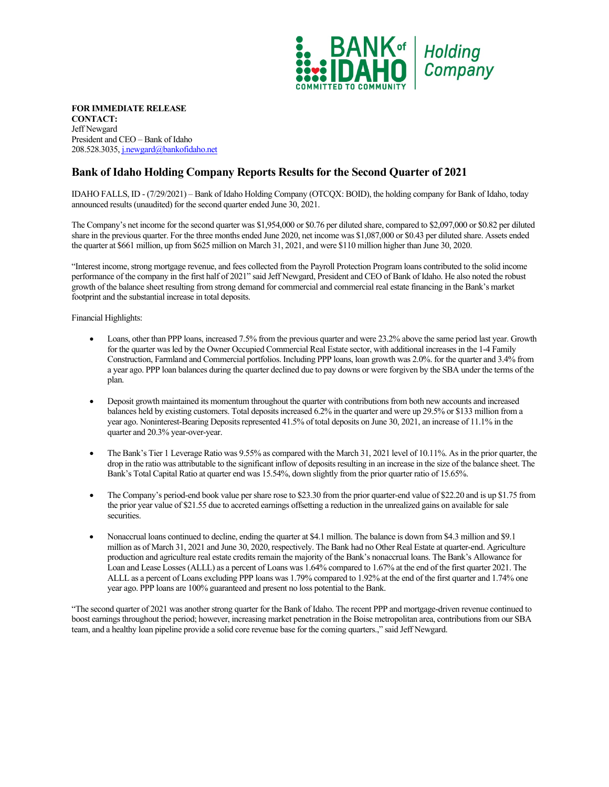

**FOR IMMEDIATE RELEASE CONTACT:**  Jeff Newgard President and CEO – Bank of Idaho 208.528.3035[, j.newgard@bankofidaho.net](mailto:j.newgard@bankofidaho.net)

## **Bank of Idaho Holding Company Reports Results for the Second Quarter of 2021**

IDAHO FALLS, ID - (7/29/2021) – Bank of Idaho Holding Company (OTCQX: BOID), the holding company for Bank of Idaho, today announced results(unaudited) for the second quarter ended June 30, 2021.

The Company's net income for the second quarter was \$1,954,000 or \$0.76 per diluted share, compared to \$2,097,000 or \$0.82 per diluted share in the previous quarter. For the three months ended June 2020, net income was \$1,087,000 or \$0.43 per diluted share. Assets ended the quarter at \$661 million, up from \$625 million on March 31, 2021, and were \$110 million higher than June 30, 2020.

"Interest income, strong mortgage revenue, and fees collected from the Payroll Protection Program loans contributed to the solid income performance of the company in the first half of 2021" said Jeff Newgard, President and CEO of Bank of Idaho. He also noted the robust growth of the balance sheet resulting from strong demand for commercial and commercial real estate financing in the Bank's market footprint and the substantial increase in total deposits.

Financial Highlights:

- Loans, other than PPP loans, increased 7.5% from the previous quarter and were 23.2% above the same period last year. Growth for the quarter was led by the Owner Occupied Commercial Real Estate sector, with additional increases in the 1-4 Family Construction, Farmland and Commercial portfolios. Including PPP loans, loan growth was 2.0%. for the quarter and 3.4% from a year ago. PPP loan balances during the quarter declined due to pay downs or were forgiven by the SBA under the terms of the plan.
- Deposit growth maintained its momentum throughout the quarter with contributions from both new accounts and increased balances held by existing customers. Total deposits increased 6.2% in the quarter and were up 29.5% or \$133 million from a year ago. Noninterest-Bearing Deposits represented 41.5% of total deposits on June 30, 2021, an increase of 11.1% in the quarter and 20.3% year-over-year.
- The Bank's Tier 1 Leverage Ratio was 9.55% as compared with the March 31, 2021 level of 10.11%. As in the prior quarter, the drop in the ratio was attributable to the significant inflow of deposits resulting in an increase in the size of the balance sheet. The Bank's Total Capital Ratio at quarter end was 15.54%, down slightly from the prior quarter ratio of 15.65%.
- The Company's period-end book value per share rose to \$23.30 from the prior quarter-end value of \$22.20 and is up \$1.75 from the prior year value of \$21.55 due to accreted earnings offsetting a reduction in the unrealized gains on available for sale securities.
- Nonaccrual loans continued to decline, ending the quarter at \$4.1 million. The balance is down from \$4.3 million and \$9.1 million as of March 31, 2021 and June 30, 2020, respectively. The Bank had no Other Real Estate at quarter-end. Agriculture production and agriculture real estate credits remain the majority of the Bank's nonaccrual loans. The Bank's Allowance for Loan and Lease Losses (ALLL) as a percent of Loans was 1.64% compared to 1.67% at the end of the first quarter 2021. The ALLL as a percent of Loans excluding PPP loans was 1.79% compared to 1.92% at the end of the first quarter and 1.74% one year ago. PPP loans are 100% guaranteed and present no loss potential to the Bank.

"The second quarter of 2021 was another strong quarter for the Bank of Idaho. The recent PPP and mortgage-driven revenue continued to boost earnings throughout the period; however, increasing market penetration in the Boise metropolitan area, contributions from our SBA team, and a healthy loan pipeline provide a solid core revenue base for the coming quarters.," said Jeff Newgard.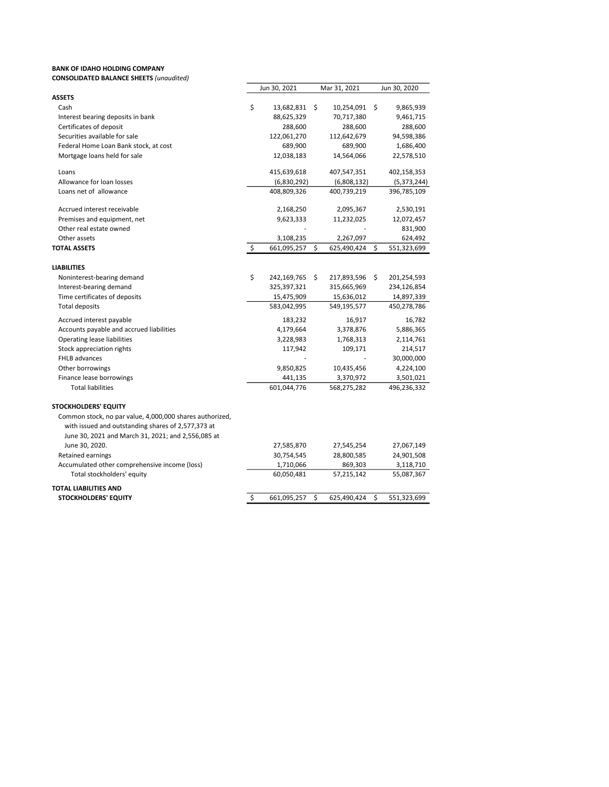## BANK OF IDAHO HOLDING COMPANY CONSOLIDATED BALANCE SHEETS (unaudited)

|                                                          | Jun 30, 2021      |     | Mar 31, 2021 |     | Jun 30, 2020 |  |
|----------------------------------------------------------|-------------------|-----|--------------|-----|--------------|--|
| <b>ASSETS</b>                                            |                   |     |              |     |              |  |
| Cash                                                     | \$<br>13,682,831  | -\$ | 10,254,091   | \$. | 9,865,939    |  |
| Interest bearing deposits in bank                        | 88,625,329        |     | 70,717,380   |     | 9,461,715    |  |
| Certificates of deposit                                  | 288,600           |     | 288,600      |     | 288,600      |  |
| Securities available for sale                            | 122,061,270       |     | 112,642,679  |     | 94,598,386   |  |
| Federal Home Loan Bank stock, at cost                    | 689,900           |     | 689,900      |     | 1,686,400    |  |
| Mortgage loans held for sale                             | 12,038,183        |     | 14,564,066   |     | 22,578,510   |  |
| Loans                                                    | 415,639,618       |     | 407,547,351  |     | 402,158,353  |  |
| Allowance for loan losses                                | (6,830,292)       |     | (6,808,132)  |     | (5,373,244)  |  |
| Loans net of allowance                                   | 408,809,326       |     | 400,739,219  |     | 396,785,109  |  |
| Accrued interest receivable                              | 2,168,250         |     | 2,095,367    |     | 2,530,191    |  |
| Premises and equipment, net                              | 9,623,333         |     | 11,232,025   |     | 12,072,457   |  |
| Other real estate owned                                  |                   |     |              |     | 831,900      |  |
| Other assets                                             | 3,108,235         |     | 2,267,097    |     | 624,492      |  |
| <b>TOTAL ASSETS</b>                                      | \$<br>661,095,257 | \$  | 625,490,424  | \$  | 551,323,699  |  |
| <b>LIABILITIES</b>                                       |                   |     |              |     |              |  |
| Noninterest-bearing demand                               | \$<br>242,169,765 | \$  | 217,893,596  | \$  | 201,254,593  |  |
| Interest-bearing demand                                  | 325,397,321       |     | 315,665,969  |     | 234,126,854  |  |
| Time certificates of deposits                            | 15,475,909        |     | 15,636,012   |     | 14,897,339   |  |
| <b>Total deposits</b>                                    | 583,042,995       |     | 549,195,577  |     | 450,278,786  |  |
| Accrued interest payable                                 | 183,232           |     | 16,917       |     | 16,782       |  |
| Accounts payable and accrued liabilities                 | 4,179,664         |     | 3,378,876    |     | 5,886,365    |  |
| Operating lease liabilities                              | 3,228,983         |     | 1,768,313    |     | 2,114,761    |  |
| Stock appreciation rights                                | 117,942           |     | 109,171      |     | 214,517      |  |
| FHLB advances                                            |                   |     |              |     | 30,000,000   |  |
| Other borrowings                                         | 9,850,825         |     | 10,435,456   |     | 4,224,100    |  |
| Finance lease borrowings                                 | 441,135           |     | 3,370,972    |     | 3,501,021    |  |
| <b>Total liabilities</b>                                 | 601,044,776       |     | 568,275,282  |     | 496,236,332  |  |
| <b>STOCKHOLDERS' EQUITY</b>                              |                   |     |              |     |              |  |
| Common stock, no par value, 4,000,000 shares authorized, |                   |     |              |     |              |  |
| with issued and outstanding shares of 2,577,373 at       |                   |     |              |     |              |  |
| June 30, 2021 and March 31, 2021; and 2,556,085 at       |                   |     |              |     |              |  |
| June 30, 2020.                                           | 27,585,870        |     | 27,545,254   |     | 27,067,149   |  |
| Retained earnings                                        | 30,754,545        |     | 28,800,585   |     | 24,901,508   |  |
| Accumulated other comprehensive income (loss)            | 1,710,066         |     | 869,303      |     | 3,118,710    |  |
| Total stockholders' equity                               | 60,050,481        |     | 57,215,142   |     | 55,087,367   |  |
| TOTAL LIABILITIES AND                                    |                   |     |              |     |              |  |
| <b>STOCKHOLDERS' EQUITY</b>                              | \$<br>661,095,257 | \$  | 625,490,424  | \$  | 551,323,699  |  |